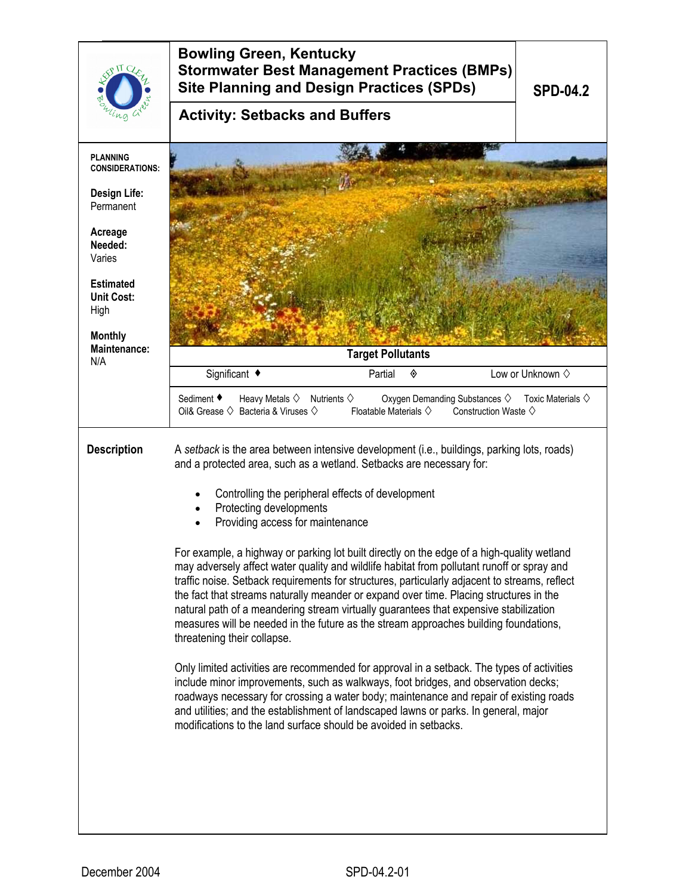